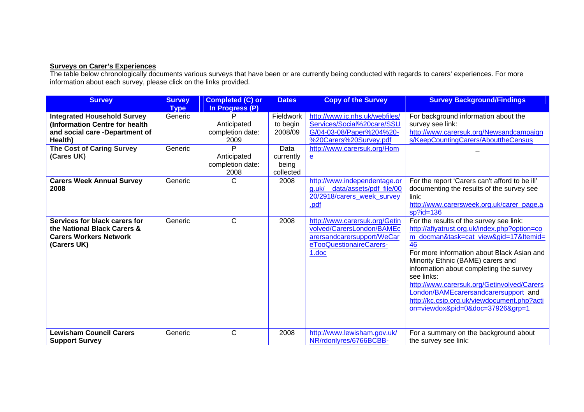## **Surveys on Carer's Experiences**

The table below chronologically documents various surveys that have been or are currently being conducted with regards to carers' experiences. For more information about each survey, please click on the links provided.

| <b>Survey</b>                                                                                                                                                       | <b>Survey</b><br><b>Type</b> | <b>Completed (C) or</b><br>In Progress (P)                                           | <b>Dates</b>                                                   | <b>Copy of the Survey</b>                                                                                                                                         | <b>Survey Background/Findings</b>                                                                                                                                                                                                                                                                                                                                                                                                                           |
|---------------------------------------------------------------------------------------------------------------------------------------------------------------------|------------------------------|--------------------------------------------------------------------------------------|----------------------------------------------------------------|-------------------------------------------------------------------------------------------------------------------------------------------------------------------|-------------------------------------------------------------------------------------------------------------------------------------------------------------------------------------------------------------------------------------------------------------------------------------------------------------------------------------------------------------------------------------------------------------------------------------------------------------|
| <b>Integrated Household Survey</b><br>(Information Centre for health<br>and social care -Department of<br>Health)<br><b>The Cost of Caring Survey</b><br>(Cares UK) | Generic<br>Generic           | P<br>Anticipated<br>completion date:<br>2009<br>Þ<br>Anticipated<br>completion date: | Fieldwork<br>to begin<br>2008/09<br>Data<br>currently<br>being | http://www.ic.nhs.uk/webfiles/<br>Services/Social%20care/SSU<br>G/04-03-08/Paper%204%20-<br>%20Carers%20Survey.pdf<br>http://www.carersuk.org/Hom<br>$\mathbf{e}$ | For background information about the<br>survey see link:<br>http://www.carersuk.org/Newsandcampaign<br>s/KeepCountingCarers/AbouttheCensus                                                                                                                                                                                                                                                                                                                  |
| <b>Carers Week Annual Survey</b><br>2008                                                                                                                            | Generic                      | 2008<br>C                                                                            | collected<br>2008                                              | http://www.independentage.or<br>data/assets/pdf_file/00<br>$a.$ uk $\sqrt{a}$<br>20/2918/carers week survey<br>.pdf                                               | For the report 'Carers can't afford to be ill'<br>documenting the results of the survey see<br>link:<br>http://www.carersweek.org.uk/carer_page.a<br>$sp$ ?id=136                                                                                                                                                                                                                                                                                           |
| Services for black carers for<br>the National Black Carers &<br><b>Carers Workers Network</b><br>(Carers UK)                                                        | Generic                      | C                                                                                    | 2008                                                           | http://www.carersuk.org/Getin<br>volved/CarersLondon/BAMEc<br>arersandcarersupport/WeCar<br>eTooQuestionaireCarers-<br>1.doc                                      | For the results of the survey see link:<br>http://afiyatrust.org.uk/index.php?option=co<br>m_docman&task=cat_view&gid=17&Itemid=<br>46<br>For more information about Black Asian and<br>Minority Ethnic (BAME) carers and<br>information about completing the survey<br>see links:<br>http://www.carersuk.org/Getinvolved/Carers<br>London/BAMEcarersandcarersupport and<br>http://kc.csip.org.uk/viewdocument.php?acti<br>on=viewdox&pid=0&doc=37926&grp=1 |
| <b>Lewisham Council Carers</b><br><b>Support Survey</b>                                                                                                             | Generic                      | C                                                                                    | 2008                                                           | http://www.lewisham.gov.uk/<br>NR/rdonlyres/6766BCBB-                                                                                                             | For a summary on the background about<br>the survey see link:                                                                                                                                                                                                                                                                                                                                                                                               |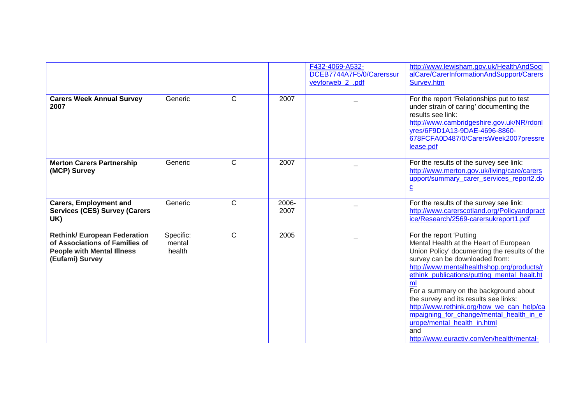|                                                                                                                               |                               |              |               | F432-4069-A532-<br>DCEB7744A7F5/0/Carerssur<br>veyforweb_2_.pdf | http://www.lewisham.gov.uk/HealthAndSoci<br>alCare/CarerInformationAndSupport/Carers<br>Survey.htm                                                                                                                                                                                                                                                                                                                                                                                                                  |
|-------------------------------------------------------------------------------------------------------------------------------|-------------------------------|--------------|---------------|-----------------------------------------------------------------|---------------------------------------------------------------------------------------------------------------------------------------------------------------------------------------------------------------------------------------------------------------------------------------------------------------------------------------------------------------------------------------------------------------------------------------------------------------------------------------------------------------------|
| <b>Carers Week Annual Survey</b><br>2007                                                                                      | Generic                       | C            | 2007          |                                                                 | For the report 'Relationships put to test<br>under strain of caring' documenting the<br>results see link:<br>http://www.cambridgeshire.gov.uk/NR/rdonl<br>yres/6F9D1A13-9DAE-4696-8860-<br>678FCFA0D487/0/CarersWeek2007pressre<br>lease.pdf                                                                                                                                                                                                                                                                        |
| <b>Merton Carers Partnership</b><br>(MCP) Survey                                                                              | Generic                       | C            | 2007          |                                                                 | For the results of the survey see link:<br>http://www.merton.gov.uk/living/care/carers<br>upport/summary carer services report2.do<br>$\underline{\mathbf{c}}$                                                                                                                                                                                                                                                                                                                                                      |
| <b>Carers, Employment and</b><br><b>Services (CES) Survey (Carers</b><br>UK)                                                  | Generic                       | C            | 2006-<br>2007 |                                                                 | For the results of the survey see link:<br>http://www.carerscotland.org/Policyandpract<br>ice/Research/2569-carersukreport1.pdf                                                                                                                                                                                                                                                                                                                                                                                     |
| <b>Rethink/ European Federation</b><br>of Associations of Families of<br><b>People with Mental Illness</b><br>(Eufami) Survey | Specific:<br>mental<br>health | $\mathsf{C}$ | 2005          |                                                                 | For the report 'Putting<br>Mental Health at the Heart of European<br>Union Policy' documenting the results of the<br>survey can be downloaded from:<br>http://www.mentalhealthshop.org/products/r<br>ethink_publications/putting_mental_healt.ht<br>ml<br>For a summary on the background about<br>the survey and its results see links:<br>http://www.rethink.org/how_we_can_help/ca<br>mpaigning_for_change/mental_health_in_e<br>urope/mental_health_in.html<br>and<br>http://www.euractiv.com/en/health/mental- |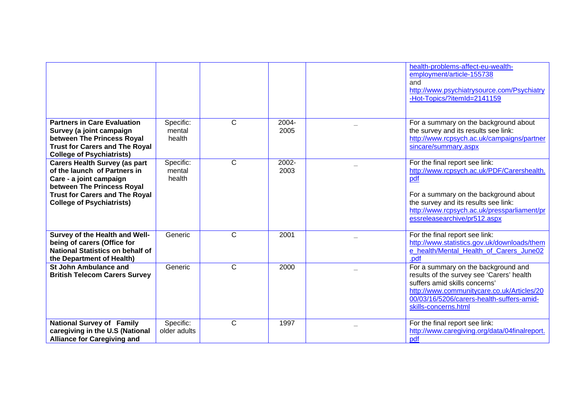|                                                                                                                                                                                                            |                               |              |               | health-problems-affect-eu-wealth-<br>employment/article-155738<br>and<br>http://www.psychiatrysource.com/Psychiatry<br>-Hot-Topics/?itemId=2141159                                                                                                  |
|------------------------------------------------------------------------------------------------------------------------------------------------------------------------------------------------------------|-------------------------------|--------------|---------------|-----------------------------------------------------------------------------------------------------------------------------------------------------------------------------------------------------------------------------------------------------|
| <b>Partners in Care Evaluation</b><br>Survey (a joint campaign<br>between The Princess Royal<br><b>Trust for Carers and The Royal</b><br><b>College of Psychiatrists)</b>                                  | Specific:<br>mental<br>health | $\mathsf{C}$ | 2004-<br>2005 | For a summary on the background about<br>the survey and its results see link:<br>http://www.rcpsych.ac.uk/campaigns/partner<br>sincare/summary.aspx                                                                                                 |
| <b>Carers Health Survey (as part</b><br>of the launch of Partners in<br>Care - a joint campaign<br>between The Princess Royal<br><b>Trust for Carers and The Royal</b><br><b>College of Psychiatrists)</b> | Specific:<br>mental<br>health | $\mathsf{C}$ | 2002-<br>2003 | For the final report see link:<br>http://www.rcpsych.ac.uk/PDF/Carershealth.<br>pdf<br>For a summary on the background about<br>the survey and its results see link:<br>http://www.rcpsych.ac.uk/pressparliament/pr<br>essreleasearchive/pr512.aspx |
| Survey of the Health and Well-<br>being of carers (Office for<br><b>National Statistics on behalf of</b><br>the Department of Health)                                                                      | Generic                       | $\mathsf{C}$ | 2001          | For the final report see link:<br>http://www.statistics.gov.uk/downloads/them<br>e_health/Mental_Health_of_Carers_June02<br>.pdf                                                                                                                    |
| <b>St John Ambulance and</b><br><b>British Telecom Carers Survey</b>                                                                                                                                       | Generic                       | $\mathsf{C}$ | 2000          | For a summary on the background and<br>results of the survey see 'Carers' health<br>suffers amid skills concerns'<br>http://www.communitycare.co.uk/Articles/20<br>00/03/16/5206/carers-health-suffers-amid-<br>skills-concerns.html                |
| <b>National Survey of Family</b><br>caregiving in the U.S (National<br><b>Alliance for Caregiving and</b>                                                                                                  | Specific:<br>older adults     | $\mathsf{C}$ | 1997          | For the final report see link:<br>http://www.caregiving.org/data/04finalreport.<br>pdf                                                                                                                                                              |